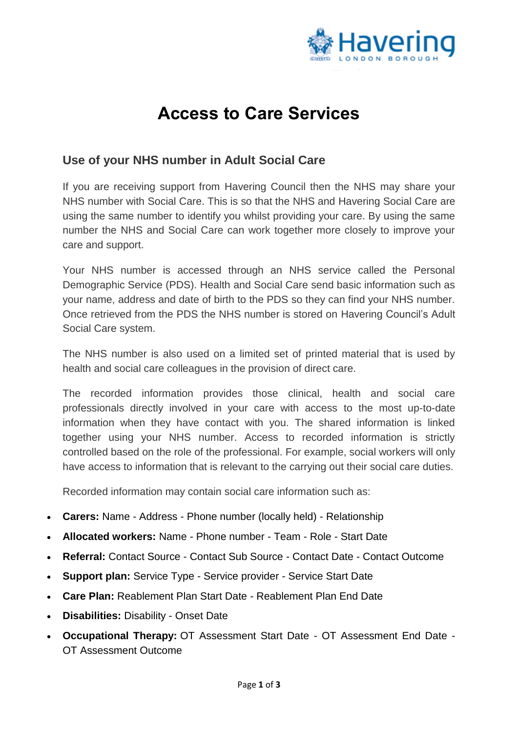

## **Access to Care Services**

## **Use of your NHS number in Adult Social Care**

If you are receiving support from Havering Council then the NHS may share your NHS number with Social Care. This is so that the NHS and Havering Social Care are using the same number to identify you whilst providing your care. By using the same number the NHS and Social Care can work together more closely to improve your care and support.

Your NHS number is accessed through an NHS service called the Personal Demographic Service (PDS). Health and Social Care send basic information such as your name, address and date of birth to the PDS so they can find your NHS number. Once retrieved from the PDS the NHS number is stored on Havering Council's Adult Social Care system.

The NHS number is also used on a limited set of printed material that is used by health and social care colleagues in the provision of direct care.

The recorded information provides those clinical, health and social care professionals directly involved in your care with access to the most up-to-date information when they have contact with you. The shared information is linked together using your NHS number. Access to recorded information is strictly controlled based on the role of the professional. For example, social workers will only have access to information that is relevant to the carrying out their social care duties.

Recorded information may contain social care information such as:

- **Carers:** Name Address Phone number (locally held) Relationship
- **Allocated workers:** Name Phone number Team Role Start Date
- **Referral:** Contact Source Contact Sub Source Contact Date Contact Outcome
- **Support plan:** Service Type Service provider Service Start Date
- **Care Plan:** Reablement Plan Start Date Reablement Plan End Date
- **Disabilities:** Disability Onset Date
- **Occupational Therapy:** OT Assessment Start Date OT Assessment End Date OT Assessment Outcome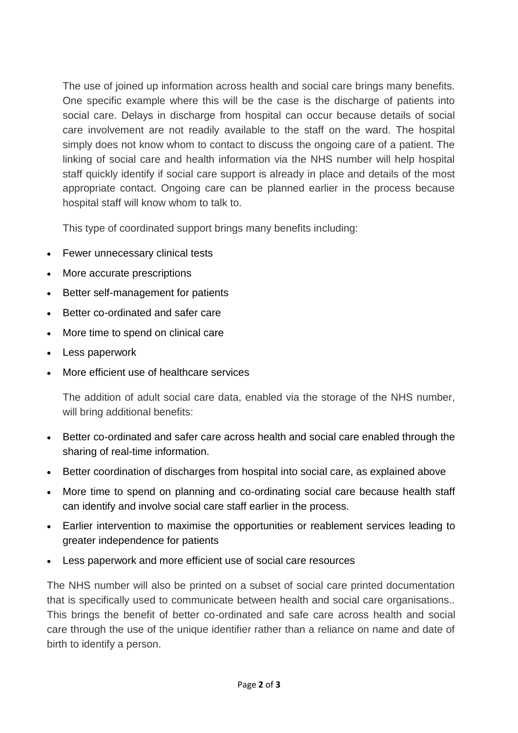The use of joined up information across health and social care brings many benefits. One specific example where this will be the case is the discharge of patients into social care. Delays in discharge from hospital can occur because details of social care involvement are not readily available to the staff on the ward. The hospital simply does not know whom to contact to discuss the ongoing care of a patient. The linking of social care and health information via the NHS number will help hospital staff quickly identify if social care support is already in place and details of the most appropriate contact. Ongoing care can be planned earlier in the process because hospital staff will know whom to talk to.

This type of coordinated support brings many benefits including:

- Fewer unnecessary clinical tests
- More accurate prescriptions
- Better self-management for patients
- Better co-ordinated and safer care
- More time to spend on clinical care
- Less paperwork
- More efficient use of healthcare services

The addition of adult social care data, enabled via the storage of the NHS number, will bring additional benefits:

- Better co-ordinated and safer care across health and social care enabled through the sharing of real-time information.
- Better coordination of discharges from hospital into social care, as explained above
- More time to spend on planning and co-ordinating social care because health staff can identify and involve social care staff earlier in the process.
- Earlier intervention to maximise the opportunities or reablement services leading to greater independence for patients
- Less paperwork and more efficient use of social care resources

The NHS number will also be printed on a subset of social care printed documentation that is specifically used to communicate between health and social care organisations.. This brings the benefit of better co-ordinated and safe care across health and social care through the use of the unique identifier rather than a reliance on name and date of birth to identify a person.